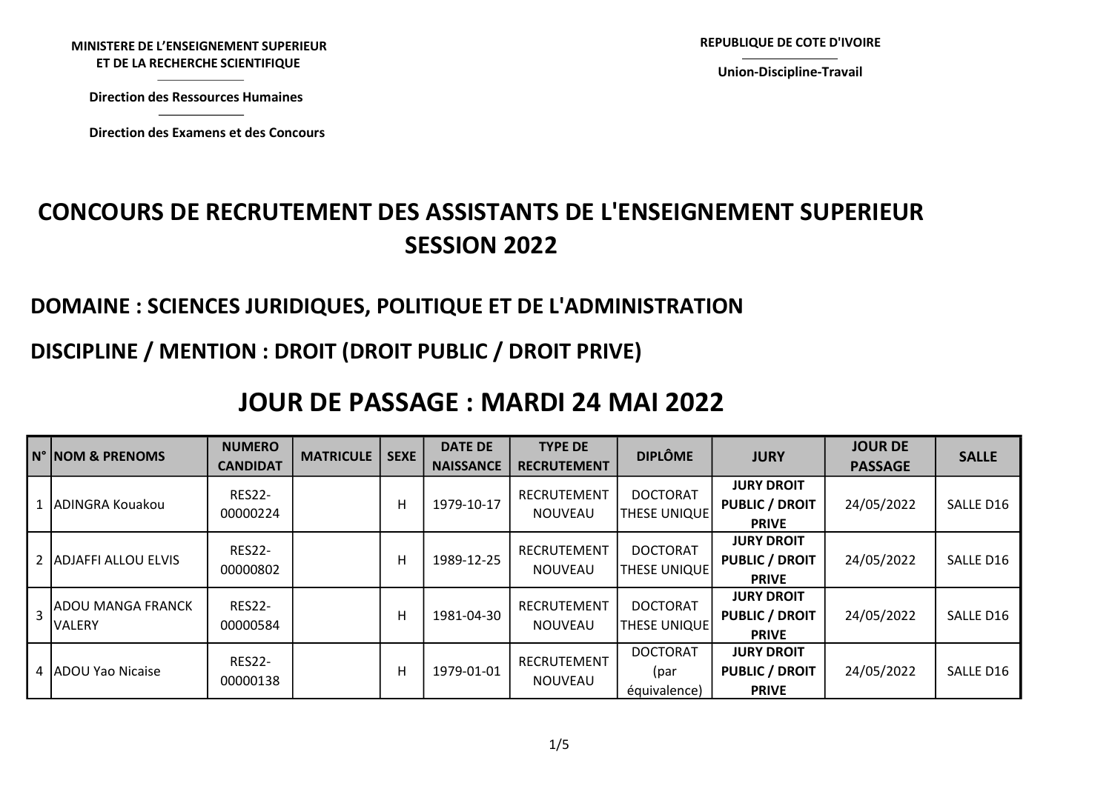MINISTERE DE L'ENSEIGNEMENT SUPERIEUR STERE DE L'ENSEIGNEMENT SUPERIEUR<br>ET DE LA RECHERCHE SCIENTIFIQUE<br>Virection des Ressources Humaines<br>Virection des Examens et des Concours

Direction des Ressources Humaines

Union-Discipline-Travail

# CONCOURS DE RECRUTEMENT DES ASSISTANTS DE L'ENSEIGNEMENT SUPERIEUR SESSION 2022 NISTERE DE L'ENSEIGNEMENT SUPERIEUR<br>ET DE LA RECHERCHE SCIENTIFIQUE<br>Direction des Ressources Humaines<br>Direction des Examens et des Concours<br>COURS DE RECRUTEMENT DES ASSISTANTS DE L'ENSEIGI

### DOMAINE : SCIENCES JURIDIQUES, POLITIQUE ET DE L'ADMINISTRATION

## DISCIPLINE / MENTION : DROIT (DROIT PUBLIC / DROIT PRIVE)

# JOUR DE PASSAGE : MARDI 24 MAI 2022

|              | <b>N° INOM &amp; PRENOMS</b>        | <b>NUMERO</b><br><b>CANDIDAT</b> | <b>MATRICULE</b> | <b>SEXE</b> | <b>DATE DE</b><br><b>NAISSANCE</b> | <b>TYPE DE</b><br><b>RECRUTEMENT</b> | <b>DIPLÔME</b>                          | <b>JURY</b>                                                | <b>JOUR DE</b><br><b>PASSAGE</b> | <b>SALLE</b> |
|--------------|-------------------------------------|----------------------------------|------------------|-------------|------------------------------------|--------------------------------------|-----------------------------------------|------------------------------------------------------------|----------------------------------|--------------|
| $\mathbf{1}$ | ADINGRA Kouakou                     | <b>RES22-</b><br>00000224        |                  | H           | 1979-10-17                         | RECRUTEMENT<br>NOUVEAU               | <b>DOCTORAT</b><br><b>THESE UNIQUE</b>  | <b>JURY DROIT</b><br><b>PUBLIC / DROIT</b><br><b>PRIVE</b> | 24/05/2022                       | SALLE D16    |
|              | 2 ADJAFFI ALLOU ELVIS               | <b>RES22-</b><br>00000802        |                  | H           | 1989-12-25                         | RECRUTEMENT<br><b>NOUVEAU</b>        | <b>DOCTORAT</b><br><b>THESE UNIQUE</b>  | <b>JURY DROIT</b><br><b>PUBLIC / DROIT</b><br><b>PRIVE</b> | 24/05/2022                       | SALLE D16    |
|              | <b>ADOU MANGA FRANCK</b><br>IVALERY | <b>RES22-</b><br>00000584        |                  | H           | 1981-04-30                         | RECRUTEMENT<br><b>NOUVEAU</b>        | <b>DOCTORAT</b><br><b>THESE UNIQUE</b>  | <b>JURY DROIT</b><br><b>PUBLIC / DROIT</b><br><b>PRIVE</b> | 24/05/2022                       | SALLE D16    |
| 4            | <b>IADOU Yao Nicaise</b>            | <b>RES22-</b><br>00000138        |                  | H           | 1979-01-01                         | <b>RECRUTEMENT</b><br>NOUVEAU        | <b>DOCTORAT</b><br>(par<br>équivalence) | <b>JURY DROIT</b><br><b>PUBLIC / DROIT</b><br><b>PRIVE</b> | 24/05/2022                       | SALLE D16    |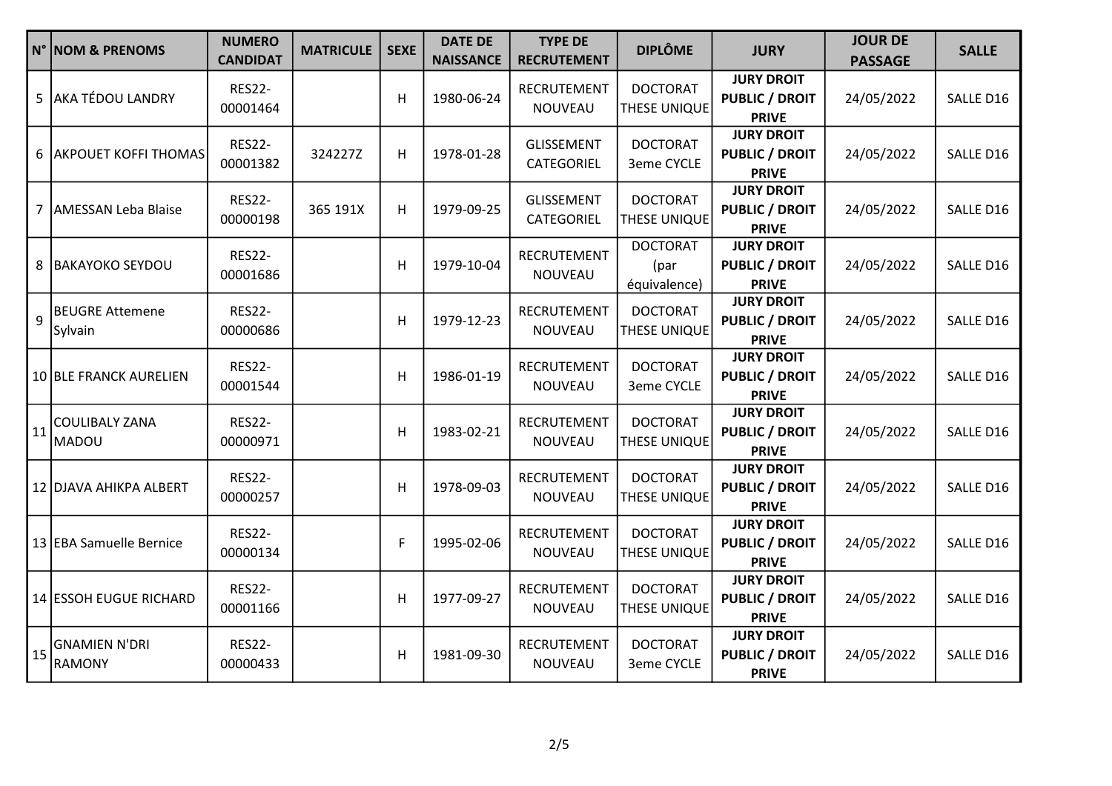|            | N° NOM & PRENOMS                  | <b>NUMERO</b><br><b>CANDIDAT</b> | <b>MATRICULE</b> | <b>SEXE</b> | <b>DATE DE</b><br><b>NAISSANCE</b> | <b>TYPE DE</b><br><b>RECRUTEMENT</b> | <b>DIPLÔME</b>                          | <b>JURY</b>                                                | <b>JOUR DE</b><br><b>PASSAGE</b> | <b>SALLE</b> |
|------------|-----------------------------------|----------------------------------|------------------|-------------|------------------------------------|--------------------------------------|-----------------------------------------|------------------------------------------------------------|----------------------------------|--------------|
|            | 5 AKA TÉDOU LANDRY                | <b>RES22-</b><br>00001464        |                  | н           | 1980-06-24                         | RECRUTEMENT<br>NOUVEAU               | <b>DOCTORAT</b><br>THESE UNIQUE         | <b>JURY DROIT</b><br><b>PUBLIC / DROIT</b><br><b>PRIVE</b> | 24/05/2022                       | SALLE D16    |
|            | 6 AKPOUET KOFFI THOMAS            | <b>RES22-</b><br>00001382        | 324227Z          | H           | 1978-01-28                         | <b>GLISSEMENT</b><br>CATEGORIEL      | <b>DOCTORAT</b><br>3eme CYCLE           | <b>JURY DROIT</b><br><b>PUBLIC / DROIT</b><br><b>PRIVE</b> | 24/05/2022                       | SALLE D16    |
|            | 7 AMESSAN Leba Blaise             | <b>RES22-</b><br>00000198        | 365 191X         | H           | 1979-09-25                         | <b>GLISSEMENT</b><br>CATEGORIEL      | <b>DOCTORAT</b><br>THESE UNIQUE         | <b>JURY DROIT</b><br><b>PUBLIC / DROIT</b><br><b>PRIVE</b> | 24/05/2022                       | SALLE D16    |
|            | 8 BAKAYOKO SEYDOU                 | <b>RES22-</b><br>00001686        |                  | Н           | 1979-10-04                         | RECRUTEMENT<br>NOUVEAU               | <b>DOCTORAT</b><br>(par<br>équivalence) | <b>JURY DROIT</b><br><b>PUBLIC / DROIT</b><br><b>PRIVE</b> | 24/05/2022                       | SALLE D16    |
| 9          | <b>BEUGRE Attemene</b><br>Sylvain | <b>RES22-</b><br>00000686        |                  | Н           | 1979-12-23                         | RECRUTEMENT<br>NOUVEAU               | <b>DOCTORAT</b><br>THESE UNIQUE         | <b>JURY DROIT</b><br><b>PUBLIC / DROIT</b><br><b>PRIVE</b> | 24/05/2022                       | SALLE D16    |
|            | 10 BLE FRANCK AURELIEN            | <b>RES22-</b><br>00001544        |                  | H           | 1986-01-19                         | RECRUTEMENT<br>NOUVEAU               | <b>DOCTORAT</b><br>3eme CYCLE           | <b>JURY DROIT</b><br><b>PUBLIC / DROIT</b><br><b>PRIVE</b> | 24/05/2022                       | SALLE D16    |
| $\vert$ 11 | COULIBALY ZANA<br>MADOU           | <b>RES22-</b><br>00000971        |                  | Н           | 1983-02-21                         | RECRUTEMENT<br>NOUVEAU               | <b>DOCTORAT</b><br>THESE UNIQUE         | <b>JURY DROIT</b><br><b>PUBLIC / DROIT</b><br><b>PRIVE</b> | 24/05/2022                       | SALLE D16    |
|            | 12 DJAVA AHIKPA ALBERT            | <b>RES22-</b><br>00000257        |                  | н           | 1978-09-03                         | RECRUTEMENT<br>NOUVEAU               | <b>DOCTORAT</b><br>THESE UNIQUE         | <b>JURY DROIT</b><br><b>PUBLIC / DROIT</b><br><b>PRIVE</b> | 24/05/2022                       | SALLE D16    |
|            | 13 EBA Samuelle Bernice           | <b>RES22-</b><br>00000134        |                  | F           | 1995-02-06                         | RECRUTEMENT<br>NOUVEAU               | <b>DOCTORAT</b><br>THESE UNIQUE         | <b>JURY DROIT</b><br><b>PUBLIC / DROIT</b><br><b>PRIVE</b> | 24/05/2022                       | SALLE D16    |
|            | 14 ESSOH EUGUE RICHARD            | <b>RES22-</b><br>00001166        |                  | Н           | 1977-09-27                         | RECRUTEMENT<br>NOUVEAU               | <b>DOCTORAT</b><br>THESE UNIQUE         | <b>JURY DROIT</b><br><b>PUBLIC / DROIT</b><br><b>PRIVE</b> | 24/05/2022                       | SALLE D16    |
|            | 15 GNAMIEN N'DRI<br>RAMONY        | <b>RES22-</b><br>00000433        |                  | Н           | 1981-09-30                         | RECRUTEMENT<br>NOUVEAU               | <b>DOCTORAT</b><br>3eme CYCLE           | <b>JURY DROIT</b><br><b>PUBLIC / DROIT</b><br><b>PRIVE</b> | 24/05/2022                       | SALLE D16    |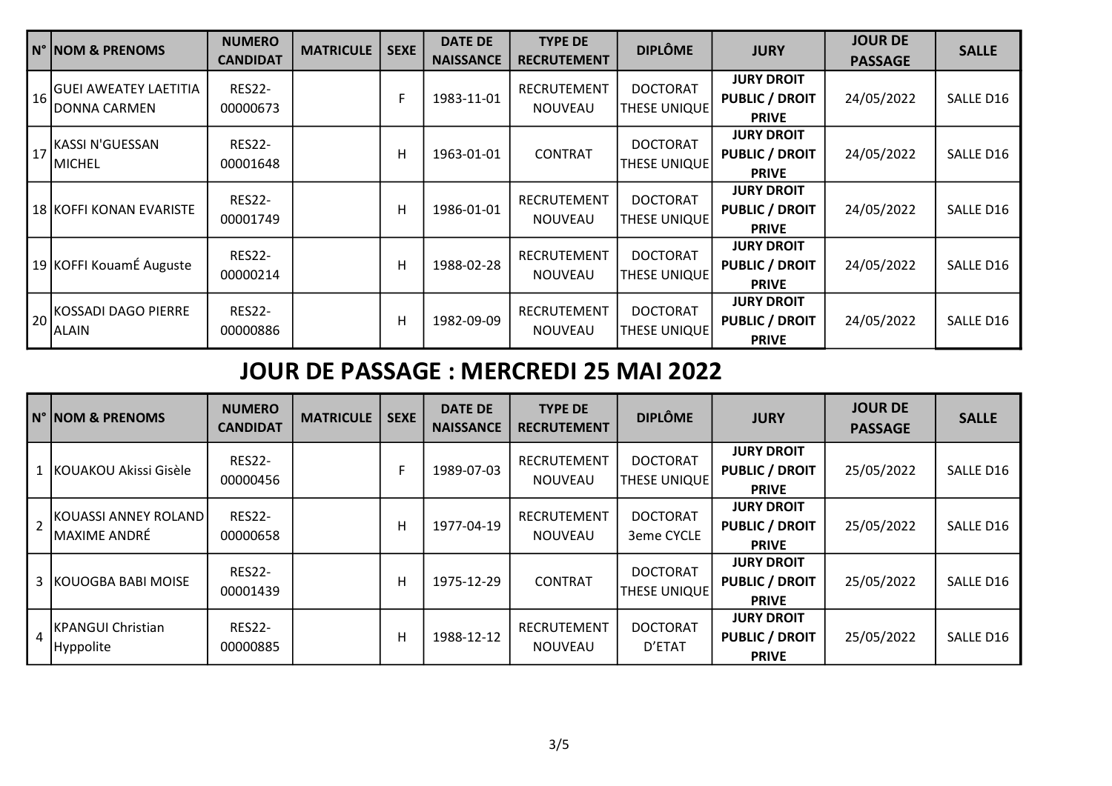|    | N° NOM & PRENOMS                                      | <b>NUMERO</b><br><b>CANDIDAT</b> | <b>MATRICULE</b> | <b>SEXE</b> | <b>DATE DE</b><br><b>NAISSANCE</b> | <b>TYPE DE</b><br><b>RECRUTEMENT</b> | <b>DIPLÔME</b>                         | <b>JURY</b>                                                | <b>JOUR DE</b><br><b>PASSAGE</b> | <b>SALLE</b> |
|----|-------------------------------------------------------|----------------------------------|------------------|-------------|------------------------------------|--------------------------------------|----------------------------------------|------------------------------------------------------------|----------------------------------|--------------|
| 16 | <b>GUEI AWEATEY LAETITIA</b><br>IDONNA CARMEN         | <b>RES22-</b><br>00000673        |                  | F           | 1983-11-01                         | RECRUTEMENT<br><b>NOUVEAU</b>        | <b>DOCTORAT</b><br>THESE UNIQUE        | <b>JURY DROIT</b><br><b>PUBLIC / DROIT</b><br><b>PRIVE</b> | 24/05/2022                       | SALLE D16    |
|    | $\left\vert 17\right\vert$ KASSI N'GUESSAN<br> MICHEL | <b>RES22-</b><br>00001648        |                  | H           | 1963-01-01                         | <b>CONTRAT</b>                       | <b>DOCTORAT</b><br>THESE UNIQUE        | <b>JURY DROIT</b><br><b>PUBLIC / DROIT</b><br><b>PRIVE</b> | 24/05/2022                       | SALLE D16    |
|    | 18   KOFFI KONAN EVARISTE                             | <b>RES22-</b><br>00001749        |                  | H           | 1986-01-01                         | <b>RECRUTEMENT</b><br><b>NOUVEAU</b> | <b>DOCTORAT</b><br>THESE UNIQUE        | <b>JURY DROIT</b><br><b>PUBLIC / DROIT</b><br><b>PRIVE</b> | 24/05/2022                       | SALLE D16    |
|    | 19 KOFFI KouamÉ Auguste                               | <b>RES22-</b><br>00000214        |                  | H           | 1988-02-28                         | RECRUTEMENT<br><b>NOUVEAU</b>        | <b>DOCTORAT</b><br>THESE UNIQUE        | <b>JURY DROIT</b><br><b>PUBLIC / DROIT</b><br><b>PRIVE</b> | 24/05/2022                       | SALLE D16    |
|    | 20 KOSSADI DAGO PIERRE<br>IALAIN                      | <b>RES22-</b><br>00000886        |                  | H           | 1982-09-09                         | <b>RECRUTEMENT</b><br><b>NOUVEAU</b> | <b>DOCTORAT</b><br><b>THESE UNIQUE</b> | <b>JURY DROIT</b><br><b>PUBLIC / DROIT</b><br><b>PRIVE</b> | 24/05/2022                       | SALLE D16    |

# JOUR DE PASSAGE : MERCREDI 25 MAI 2022

|                | N° INOM & PRENOMS                              | <b>NUMERO</b><br><b>CANDIDAT</b> | <b>MATRICULE</b> | <b>SEXE</b> | <b>DATE DE</b><br><b>NAISSANCE</b> | <b>TYPE DE</b><br><b>RECRUTEMENT</b> | <b>DIPLÔME</b>                         | <b>JURY</b>                                                | <b>JOUR DE</b><br><b>PASSAGE</b> | <b>SALLE</b> |
|----------------|------------------------------------------------|----------------------------------|------------------|-------------|------------------------------------|--------------------------------------|----------------------------------------|------------------------------------------------------------|----------------------------------|--------------|
|                | 1 KOUAKOU Akissi Gisèle                        | <b>RES22-</b><br>00000456        |                  | F           | 1989-07-03                         | RECRUTEMENT<br><b>NOUVEAU</b>        | <b>DOCTORAT</b><br><b>THESE UNIQUE</b> | <b>JURY DROIT</b><br><b>PUBLIC / DROIT</b><br><b>PRIVE</b> | 25/05/2022                       | SALLE D16    |
| $\overline{2}$ | IKOUASSI ANNEY ROLAND  <br><b>MAXIME ANDRÉ</b> | <b>RES22-</b><br>00000658        |                  | н           | 1977-04-19                         | RECRUTEMENT<br><b>NOUVEAU</b>        | <b>DOCTORAT</b><br>3eme CYCLE          | <b>JURY DROIT</b><br><b>PUBLIC / DROIT</b><br><b>PRIVE</b> | 25/05/2022                       | SALLE D16    |
|                | 3 KOUOGBA BABI MOISE                           | <b>RES22-</b><br>00001439        |                  | н           | 1975-12-29                         | <b>CONTRAT</b>                       | <b>DOCTORAT</b><br><b>THESE UNIQUE</b> | <b>JURY DROIT</b><br><b>PUBLIC / DROIT</b><br><b>PRIVE</b> | 25/05/2022                       | SALLE D16    |
| 4              | <b>IKPANGUI Christian</b><br>Hyppolite         | <b>RES22-</b><br>00000885        |                  | H           | 1988-12-12                         | RECRUTEMENT<br><b>NOUVEAU</b>        | <b>DOCTORAT</b><br>D'ETAT              | <b>JURY DROIT</b><br><b>PUBLIC / DROIT</b><br><b>PRIVE</b> | 25/05/2022                       | SALLE D16    |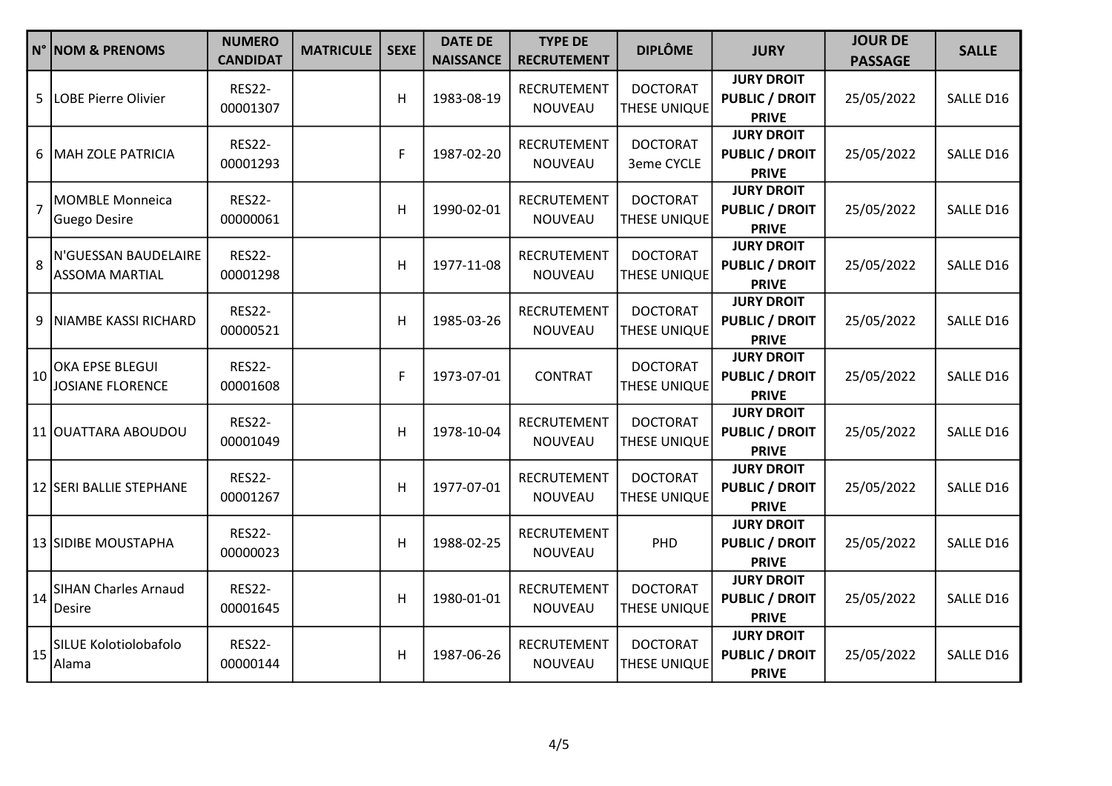|                 | N° NOM & PRENOMS                                                  | <b>NUMERO</b><br><b>CANDIDAT</b> | <b>MATRICULE</b> | <b>SEXE</b> | <b>DATE DE</b><br><b>NAISSANCE</b> | <b>TYPE DE</b><br><b>RECRUTEMENT</b> | <b>DIPLÔME</b>                  | <b>JURY</b>                                                | <b>JOUR DE</b><br><b>PASSAGE</b> | <b>SALLE</b> |
|-----------------|-------------------------------------------------------------------|----------------------------------|------------------|-------------|------------------------------------|--------------------------------------|---------------------------------|------------------------------------------------------------|----------------------------------|--------------|
| 5               | LOBE Pierre Olivier                                               | <b>RES22-</b><br>00001307        |                  | н           | 1983-08-19                         | RECRUTEMENT<br>NOUVEAU               | <b>DOCTORAT</b><br>THESE UNIQUE | <b>JURY DROIT</b><br><b>PUBLIC / DROIT</b><br><b>PRIVE</b> | 25/05/2022                       | SALLE D16    |
|                 | 6   MAH ZOLE PATRICIA                                             | <b>RES22-</b><br>00001293        |                  | F           | 1987-02-20                         | RECRUTEMENT<br><b>NOUVEAU</b>        | <b>DOCTORAT</b><br>3eme CYCLE   | <b>JURY DROIT</b><br><b>PUBLIC / DROIT</b><br><b>PRIVE</b> | 25/05/2022                       | SALLE D16    |
| $\overline{7}$  | MOMBLE Monneica<br>Guego Desire                                   | <b>RES22-</b><br>00000061        |                  | H           | 1990-02-01                         | RECRUTEMENT<br>NOUVEAU               | <b>DOCTORAT</b><br>THESE UNIQUE | <b>JURY DROIT</b><br><b>PUBLIC / DROIT</b><br><b>PRIVE</b> | 25/05/2022                       | SALLE D16    |
| 8               | N'GUESSAN BAUDELAIRE<br><b>ASSOMA MARTIAL</b>                     | <b>RES22-</b><br>00001298        |                  | Н           | 1977-11-08                         | RECRUTEMENT<br>NOUVEAU               | <b>DOCTORAT</b><br>THESE UNIQUE | <b>JURY DROIT</b><br><b>PUBLIC / DROIT</b><br><b>PRIVE</b> | 25/05/2022                       | SALLE D16    |
|                 | 9 NIAMBE KASSI RICHARD                                            | <b>RES22-</b><br>00000521        |                  | Н           | 1985-03-26                         | RECRUTEMENT<br>NOUVEAU               | <b>DOCTORAT</b><br>THESE UNIQUE | <b>JURY DROIT</b><br><b>PUBLIC / DROIT</b><br><b>PRIVE</b> | 25/05/2022                       | SALLE D16    |
|                 | $\vert$ 10 $\vert$ <sup>OKA EPSE BLEGUI</sup><br>JOSIANE FLORENCE | <b>RES22-</b><br>00001608        |                  | F           | 1973-07-01                         | <b>CONTRAT</b>                       | <b>DOCTORAT</b><br>THESE UNIQUE | <b>JURY DROIT</b><br><b>PUBLIC / DROIT</b><br><b>PRIVE</b> | 25/05/2022                       | SALLE D16    |
|                 | 11 OUATTARA ABOUDOU                                               | <b>RES22-</b><br>00001049        |                  | Н           | 1978-10-04                         | RECRUTEMENT<br>NOUVEAU               | <b>DOCTORAT</b><br>THESE UNIQUE | <b>JURY DROIT</b><br><b>PUBLIC / DROIT</b><br><b>PRIVE</b> | 25/05/2022                       | SALLE D16    |
|                 | 12 SERI BALLIE STEPHANE                                           | <b>RES22-</b><br>00001267        |                  | Н           | 1977-07-01                         | RECRUTEMENT<br>NOUVEAU               | <b>DOCTORAT</b><br>THESE UNIQUE | <b>JURY DROIT</b><br><b>PUBLIC / DROIT</b><br><b>PRIVE</b> | 25/05/2022                       | SALLE D16    |
|                 | 13 SIDIBE MOUSTAPHA                                               | <b>RES22-</b><br>00000023        |                  | Н           | 1988-02-25                         | RECRUTEMENT<br>NOUVEAU               | PHD                             | <b>JURY DROIT</b><br><b>PUBLIC / DROIT</b><br><b>PRIVE</b> | 25/05/2022                       | SALLE D16    |
|                 | 14 SIHAN Charles Arnaud<br><b>Desire</b>                          | <b>RES22-</b><br>00001645        |                  | Н           | 1980-01-01                         | RECRUTEMENT<br>NOUVEAU               | <b>DOCTORAT</b><br>THESE UNIQUE | <b>JURY DROIT</b><br><b>PUBLIC / DROIT</b><br><b>PRIVE</b> | 25/05/2022                       | SALLE D16    |
| $\overline{15}$ | SILUE Kolotiolobafolo<br>Alama                                    | <b>RES22-</b><br>00000144        |                  | H           | 1987-06-26                         | RECRUTEMENT<br>NOUVEAU               | <b>DOCTORAT</b><br>THESE UNIQUE | <b>JURY DROIT</b><br><b>PUBLIC / DROIT</b><br><b>PRIVE</b> | 25/05/2022                       | SALLE D16    |